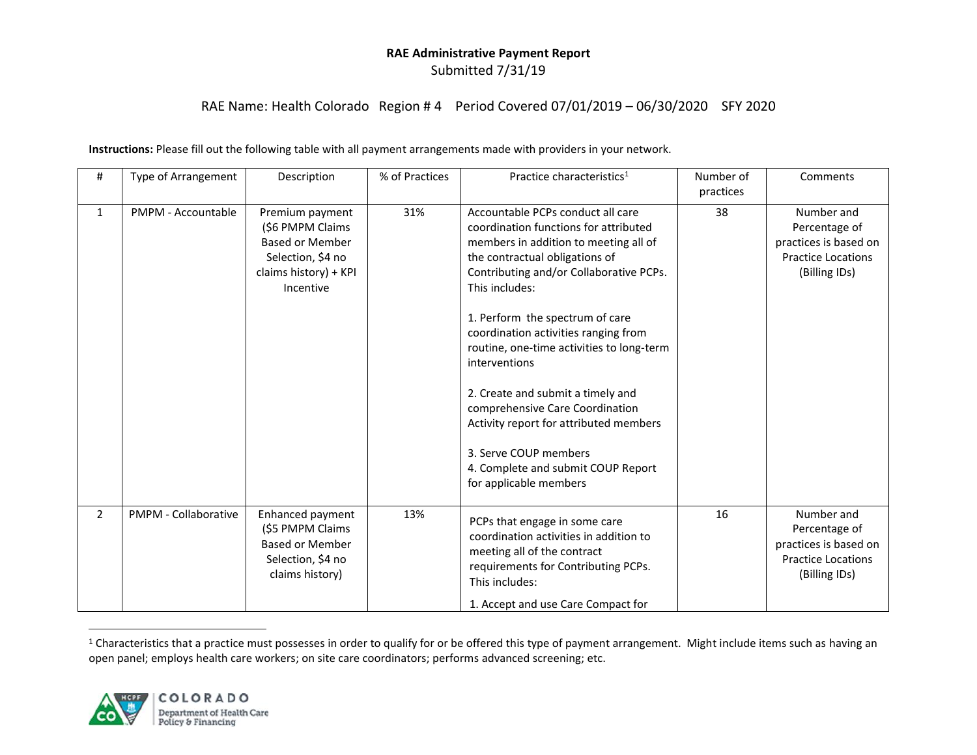# RAE Name: Health Colorado Region # 4 Period Covered 07/01/2019 – 06/30/2020 SFY 2020

**Instructions:** Please fill out the following table with all payment arrangements made with providers in your network.

| #              | <b>Type of Arrangement</b> | Description                                                                                                              | % of Practices | Practice characteristics <sup>1</sup>                                                                                                                                                                                                                                                                                                                                                                                                                                                                                                                                  | Number of<br>practices | Comments                                                                                           |
|----------------|----------------------------|--------------------------------------------------------------------------------------------------------------------------|----------------|------------------------------------------------------------------------------------------------------------------------------------------------------------------------------------------------------------------------------------------------------------------------------------------------------------------------------------------------------------------------------------------------------------------------------------------------------------------------------------------------------------------------------------------------------------------------|------------------------|----------------------------------------------------------------------------------------------------|
| $\mathbf{1}$   | PMPM - Accountable         | Premium payment<br>(\$6 PMPM Claims<br><b>Based or Member</b><br>Selection, \$4 no<br>claims history) + KPI<br>Incentive | 31%            | Accountable PCPs conduct all care<br>coordination functions for attributed<br>members in addition to meeting all of<br>the contractual obligations of<br>Contributing and/or Collaborative PCPs.<br>This includes:<br>1. Perform the spectrum of care<br>coordination activities ranging from<br>routine, one-time activities to long-term<br>interventions<br>2. Create and submit a timely and<br>comprehensive Care Coordination<br>Activity report for attributed members<br>3. Serve COUP members<br>4. Complete and submit COUP Report<br>for applicable members | 38                     | Number and<br>Percentage of<br>practices is based on<br><b>Practice Locations</b><br>(Billing IDs) |
| $\overline{2}$ | PMPM - Collaborative       | Enhanced payment<br>(\$5 PMPM Claims<br><b>Based or Member</b><br>Selection, \$4 no<br>claims history)                   | 13%            | PCPs that engage in some care<br>coordination activities in addition to<br>meeting all of the contract<br>requirements for Contributing PCPs.<br>This includes:<br>1. Accept and use Care Compact for                                                                                                                                                                                                                                                                                                                                                                  | 16                     | Number and<br>Percentage of<br>practices is based on<br><b>Practice Locations</b><br>(Billing IDs) |

<sup>&</sup>lt;sup>1</sup> Characteristics that a practice must possesses in order to qualify for or be offered this type of payment arrangement. Might include items such as having an open panel; employs health care workers; on site care coordinators; performs advanced screening; etc.

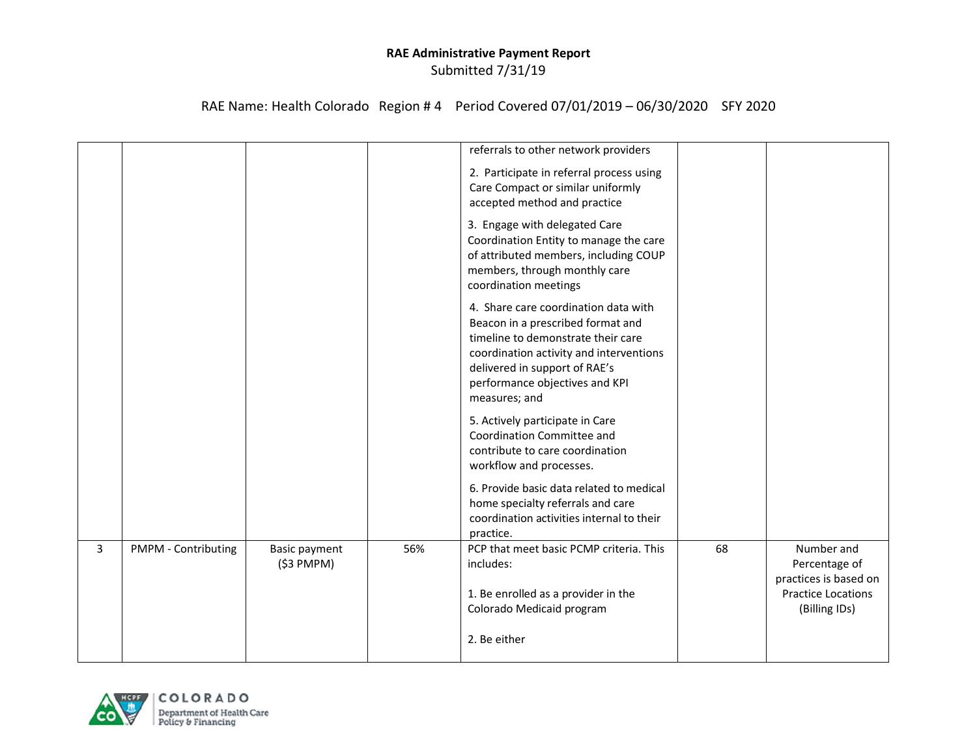# RAE Name: Health Colorado Region # 4 Period Covered 07/01/2019 – 06/30/2020 SFY 2020

|   |                     |                            |     | referrals to other network providers                                                                                                                                                                                                           |    |                                                      |
|---|---------------------|----------------------------|-----|------------------------------------------------------------------------------------------------------------------------------------------------------------------------------------------------------------------------------------------------|----|------------------------------------------------------|
|   |                     |                            |     | 2. Participate in referral process using<br>Care Compact or similar uniformly<br>accepted method and practice                                                                                                                                  |    |                                                      |
|   |                     |                            |     | 3. Engage with delegated Care<br>Coordination Entity to manage the care<br>of attributed members, including COUP<br>members, through monthly care<br>coordination meetings                                                                     |    |                                                      |
|   |                     |                            |     | 4. Share care coordination data with<br>Beacon in a prescribed format and<br>timeline to demonstrate their care<br>coordination activity and interventions<br>delivered in support of RAE's<br>performance objectives and KPI<br>measures; and |    |                                                      |
|   |                     |                            |     | 5. Actively participate in Care<br>Coordination Committee and<br>contribute to care coordination<br>workflow and processes.                                                                                                                    |    |                                                      |
|   |                     |                            |     | 6. Provide basic data related to medical<br>home specialty referrals and care<br>coordination activities internal to their<br>practice.                                                                                                        |    |                                                      |
| 3 | PMPM - Contributing | Basic payment<br>(53 PMPM) | 56% | PCP that meet basic PCMP criteria. This<br>includes:                                                                                                                                                                                           | 68 | Number and<br>Percentage of<br>practices is based on |
|   |                     |                            |     | 1. Be enrolled as a provider in the<br>Colorado Medicaid program                                                                                                                                                                               |    | <b>Practice Locations</b><br>(Billing IDs)           |
|   |                     |                            |     | 2. Be either                                                                                                                                                                                                                                   |    |                                                      |

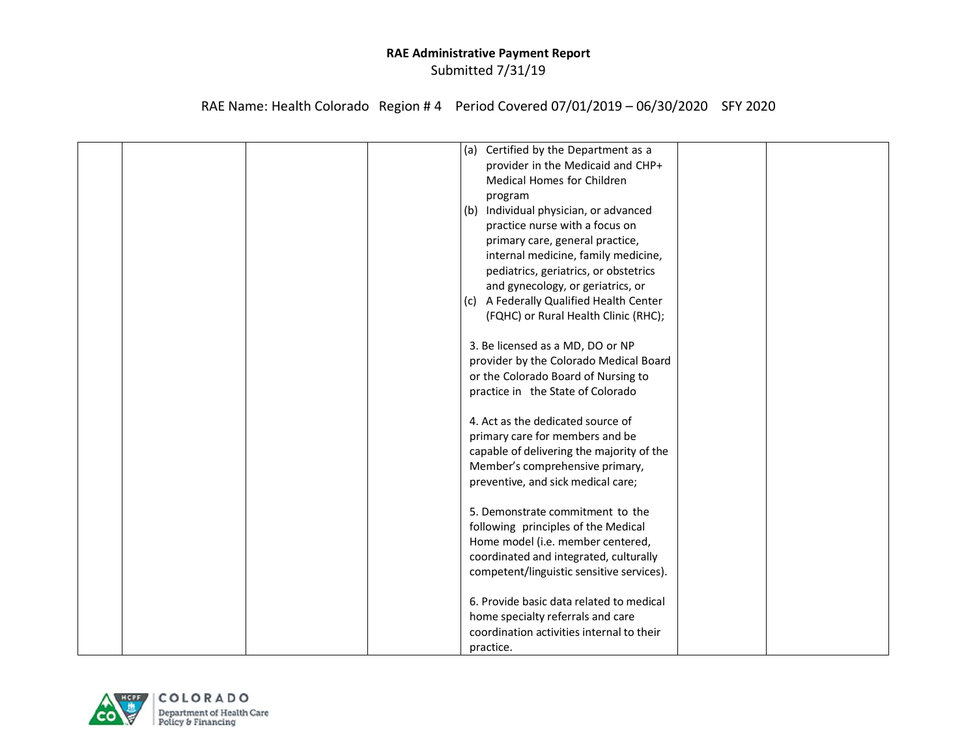# RAE Name: Health Colorado Region # 4 Period Covered 07/01/2019 – 06/30/2020 SFY 2020

|  | (a) Certified by the Department as a      |  |
|--|-------------------------------------------|--|
|  | provider in the Medicaid and CHP+         |  |
|  | Medical Homes for Children                |  |
|  | program                                   |  |
|  | (b) Individual physician, or advanced     |  |
|  | practice nurse with a focus on            |  |
|  | primary care, general practice,           |  |
|  | internal medicine, family medicine,       |  |
|  | pediatrics, geriatrics, or obstetrics     |  |
|  | and gynecology, or geriatrics, or         |  |
|  | (c) A Federally Qualified Health Center   |  |
|  | (FQHC) or Rural Health Clinic (RHC);      |  |
|  |                                           |  |
|  | 3. Be licensed as a MD, DO or NP          |  |
|  | provider by the Colorado Medical Board    |  |
|  | or the Colorado Board of Nursing to       |  |
|  | practice in the State of Colorado         |  |
|  |                                           |  |
|  | 4. Act as the dedicated source of         |  |
|  | primary care for members and be           |  |
|  | capable of delivering the majority of the |  |
|  | Member's comprehensive primary,           |  |
|  | preventive, and sick medical care;        |  |
|  |                                           |  |
|  | 5. Demonstrate commitment to the          |  |
|  | following principles of the Medical       |  |
|  | Home model (i.e. member centered,         |  |
|  | coordinated and integrated, culturally    |  |
|  | competent/linguistic sensitive services). |  |
|  |                                           |  |
|  | 6. Provide basic data related to medical  |  |
|  | home specialty referrals and care         |  |
|  | coordination activities internal to their |  |
|  |                                           |  |
|  | practice.                                 |  |